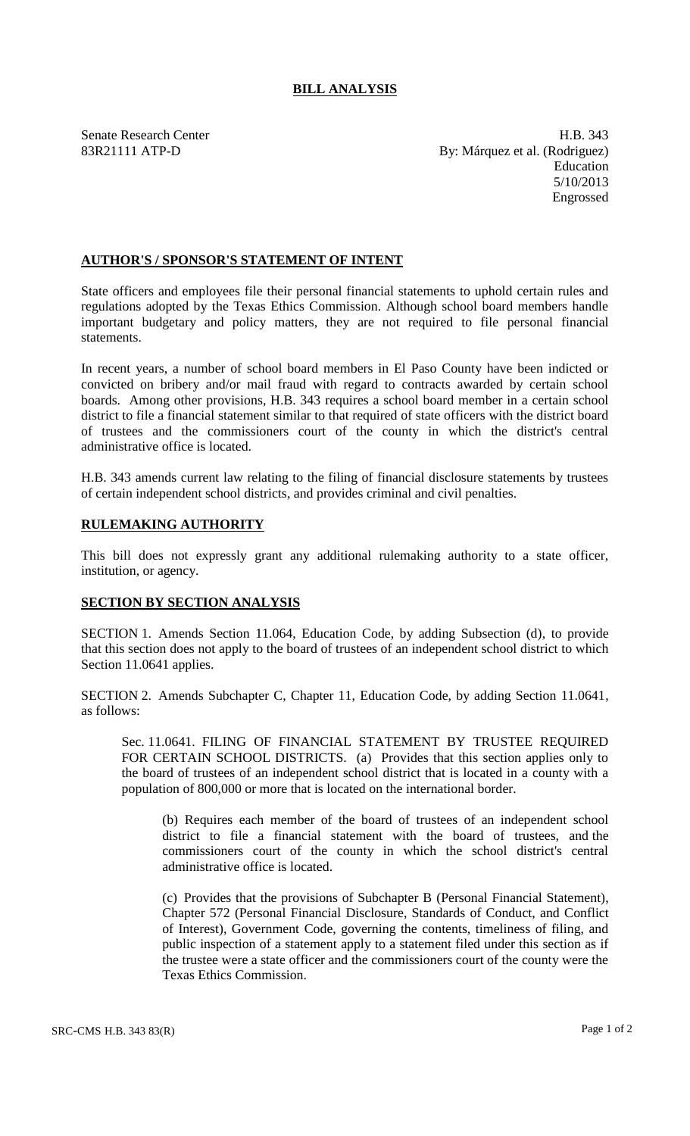## **BILL ANALYSIS**

Senate Research Center **H.B.** 343 83R21111 ATP-D By: Márquez et al. (Rodriguez) Education 5/10/2013 Engrossed

## **AUTHOR'S / SPONSOR'S STATEMENT OF INTENT**

State officers and employees file their personal financial statements to uphold certain rules and regulations adopted by the Texas Ethics Commission. Although school board members handle important budgetary and policy matters, they are not required to file personal financial statements.

In recent years, a number of school board members in El Paso County have been indicted or convicted on bribery and/or mail fraud with regard to contracts awarded by certain school boards. Among other provisions, H.B. 343 requires a school board member in a certain school district to file a financial statement similar to that required of state officers with the district board of trustees and the commissioners court of the county in which the district's central administrative office is located.

H.B. 343 amends current law relating to the filing of financial disclosure statements by trustees of certain independent school districts, and provides criminal and civil penalties.

## **RULEMAKING AUTHORITY**

This bill does not expressly grant any additional rulemaking authority to a state officer, institution, or agency.

## **SECTION BY SECTION ANALYSIS**

SECTION 1. Amends Section 11.064, Education Code, by adding Subsection (d), to provide that this section does not apply to the board of trustees of an independent school district to which Section 11.0641 applies.

SECTION 2. Amends Subchapter C, Chapter 11, Education Code, by adding Section 11.0641, as follows:

Sec. 11.0641. FILING OF FINANCIAL STATEMENT BY TRUSTEE REQUIRED FOR CERTAIN SCHOOL DISTRICTS. (a) Provides that this section applies only to the board of trustees of an independent school district that is located in a county with a population of 800,000 or more that is located on the international border.

(b) Requires each member of the board of trustees of an independent school district to file a financial statement with the board of trustees, and the commissioners court of the county in which the school district's central administrative office is located.

(c) Provides that the provisions of Subchapter B (Personal Financial Statement), Chapter 572 (Personal Financial Disclosure, Standards of Conduct, and Conflict of Interest), Government Code, governing the contents, timeliness of filing, and public inspection of a statement apply to a statement filed under this section as if the trustee were a state officer and the commissioners court of the county were the Texas Ethics Commission.